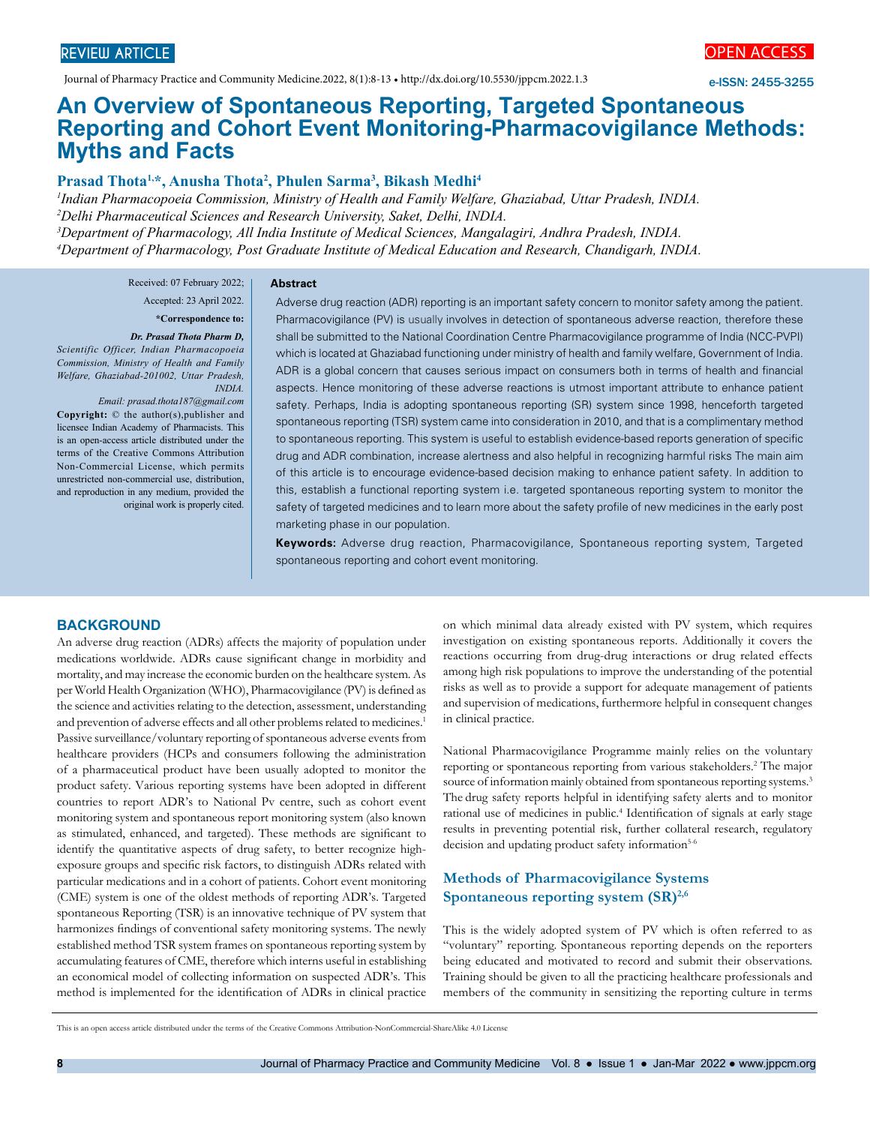Journal of Pharmacy Practice and Community Medicine.2022, 8(1):8-13 • http://dx.doi.org/10.5530/jppcm.2022.1.3



e-ISSN: 2455-3255

# **An Overview of Spontaneous Reporting, Targeted Spontaneous Reporting and Cohort Event Monitoring-Pharmacovigilance Methods: Myths and Facts**

## **Prasad Thota1,\*, Anusha Thota2 , Phulen Sarma3 , Bikash Medhi4**

 *Indian Pharmacopoeia Commission, Ministry of Health and Family Welfare, Ghaziabad, Uttar Pradesh, INDIA. Delhi Pharmaceutical Sciences and Research University, Saket, Delhi, INDIA. Department of Pharmacology, All India Institute of Medical Sciences, Mangalagiri, Andhra Pradesh, INDIA. Department of Pharmacology, Post Graduate Institute of Medical Education and Research, Chandigarh, INDIA.*

#### **Abstract**

Received: 07 February 2022; Accepted: 23 April 2022. **\*Correspondence to:**

#### *Dr. Prasad Thota Pharm D,*

*Scientific Officer, Indian Pharmacopoeia Commission, Ministry of Health and Family Welfare, Ghaziabad-201002, Uttar Pradesh, INDIA.* 

*Email: prasad.thota187@gmail.com* **Copyright:** © the author(s),publisher and licensee Indian Academy of Pharmacists. This is an open-access article distributed under the terms of the Creative Commons Attribution Non-Commercial License, which permits unrestricted non-commercial use, distribution, and reproduction in any medium, provided the original work is properly cited.

Adverse drug reaction (ADR) reporting is an important safety concern to monitor safety among the patient. Pharmacovigilance (PV) is usually involves in detection of spontaneous adverse reaction, therefore these shall be submitted to the National Coordination Centre Pharmacovigilance programme of India (NCC-PVPI) which is located at Ghaziabad functioning under ministry of health and family welfare, Government of India. ADR is a global concern that causes serious impact on consumers both in terms of health and financial aspects. Hence monitoring of these adverse reactions is utmost important attribute to enhance patient safety. Perhaps, India is adopting spontaneous reporting (SR) system since 1998, henceforth targeted spontaneous reporting (TSR) system came into consideration in 2010, and that is a complimentary method to spontaneous reporting. This system is useful to establish evidence-based reports generation of specific drug and ADR combination, increase alertness and also helpful in recognizing harmful risks The main aim of this article is to encourage evidence-based decision making to enhance patient safety. In addition to this, establish a functional reporting system i.e. targeted spontaneous reporting system to monitor the safety of targeted medicines and to learn more about the safety profile of new medicines in the early post marketing phase in our population.

**Keywords:** Adverse drug reaction, Pharmacovigilance, Spontaneous reporting system, Targeted spontaneous reporting and cohort event monitoring.

#### **BACKGROUND**

An adverse drug reaction (ADRs) affects the majority of population under medications worldwide. ADRs cause significant change in morbidity and mortality, and may increase the economic burden on the healthcare system. As per World Health Organization (WHO), Pharmacovigilance (PV) is defined as the science and activities relating to the detection, assessment, understanding and prevention of adverse effects and all other problems related to medicines.<sup>1</sup> Passive surveillance/voluntary reporting of spontaneous adverse events from healthcare providers (HCPs and consumers following the administration of a pharmaceutical product have been usually adopted to monitor the product safety. Various reporting systems have been adopted in different countries to report ADR's to National Pv centre, such as cohort event monitoring system and spontaneous report monitoring system (also known as stimulated, enhanced, and targeted). These methods are significant to identify the quantitative aspects of drug safety, to better recognize highexposure groups and specific risk factors, to distinguish ADRs related with particular medications and in a cohort of patients. Cohort event monitoring (CME) system is one of the oldest methods of reporting ADR's. Targeted spontaneous Reporting (TSR) is an innovative technique of PV system that harmonizes findings of conventional safety monitoring systems. The newly established method TSR system frames on spontaneous reporting system by accumulating features of CME, therefore which interns useful in establishing an economical model of collecting information on suspected ADR's. This method is implemented for the identification of ADRs in clinical practice

on which minimal data already existed with PV system, which requires investigation on existing spontaneous reports. Additionally it covers the reactions occurring from drug-drug interactions or drug related effects among high risk populations to improve the understanding of the potential risks as well as to provide a support for adequate management of patients and supervision of medications, furthermore helpful in consequent changes in clinical practice.

National Pharmacovigilance Programme mainly relies on the voluntary reporting or spontaneous reporting from various stakeholders.2 The major source of information mainly obtained from spontaneous reporting systems.<sup>3</sup> The drug safety reports helpful in identifying safety alerts and to monitor rational use of medicines in public.<sup>4</sup> Identification of signals at early stage results in preventing potential risk, further collateral research, regulatory decision and updating product safety information<sup>5-6</sup>

# **Methods of Pharmacovigilance Systems** Spontaneous reporting system (SR)<sup>2,6</sup>

This is the widely adopted system of PV which is often referred to as "voluntary" reporting. Spontaneous reporting depends on the reporters being educated and motivated to record and submit their observations. Training should be given to all the practicing healthcare professionals and members of the community in sensitizing the reporting culture in terms

This is an open access article distributed under the terms of the Creative Commons Attribution-NonCommercial-ShareAlike 4.0 License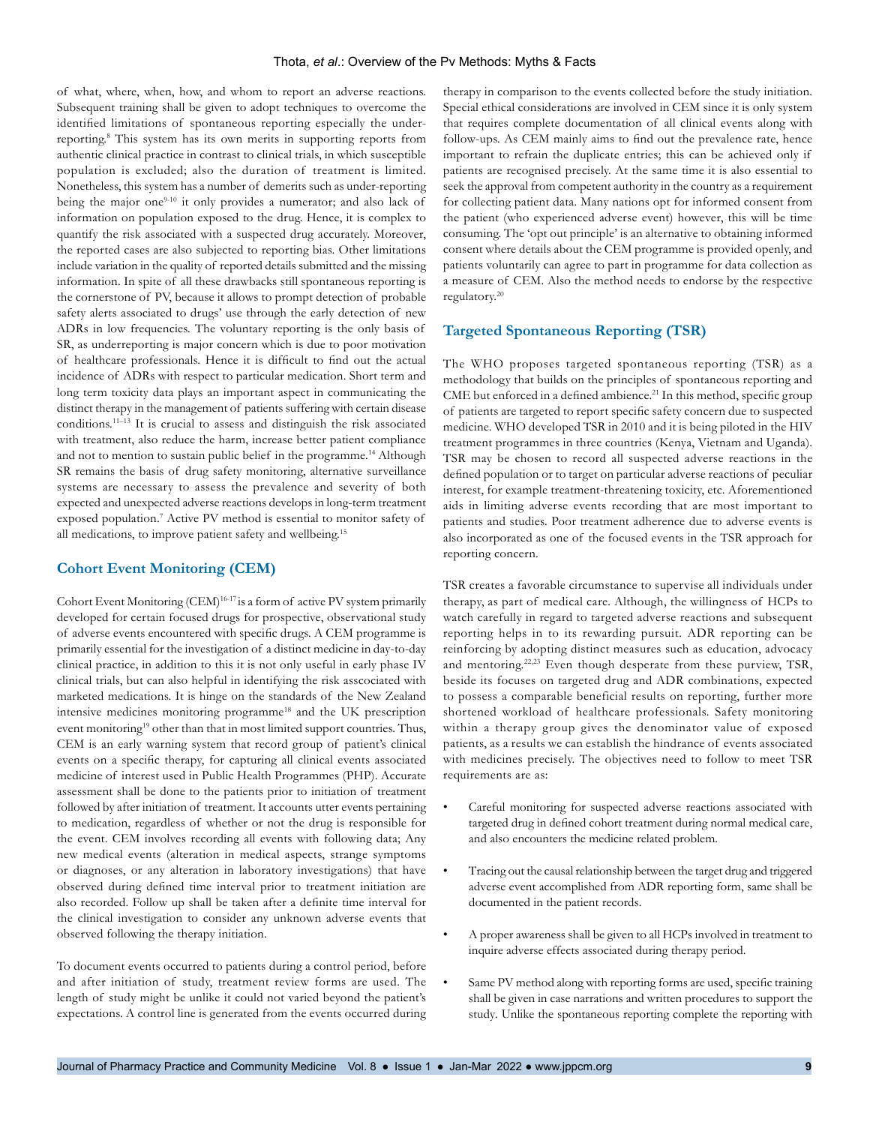of what, where, when, how, and whom to report an adverse reactions. Subsequent training shall be given to adopt techniques to overcome the identified limitations of spontaneous reporting especially the underreporting.8 This system has its own merits in supporting reports from authentic clinical practice in contrast to clinical trials, in which susceptible population is excluded; also the duration of treatment is limited. Nonetheless, this system has a number of demerits such as under-reporting being the major one<sup>9-10</sup> it only provides a numerator; and also lack of information on population exposed to the drug. Hence, it is complex to quantify the risk associated with a suspected drug accurately. Moreover, the reported cases are also subjected to reporting bias. Other limitations include variation in the quality of reported details submitted and the missing information. In spite of all these drawbacks still spontaneous reporting is the cornerstone of PV, because it allows to prompt detection of probable safety alerts associated to drugs' use through the early detection of new ADRs in low frequencies. The voluntary reporting is the only basis of SR, as underreporting is major concern which is due to poor motivation of healthcare professionals. Hence it is difficult to find out the actual incidence of ADRs with respect to particular medication. Short term and long term toxicity data plays an important aspect in communicating the distinct therapy in the management of patients suffering with certain disease conditions.11–13 It is crucial to assess and distinguish the risk associated with treatment, also reduce the harm, increase better patient compliance and not to mention to sustain public belief in the programme.<sup>14</sup> Although SR remains the basis of drug safety monitoring, alternative surveillance systems are necessary to assess the prevalence and severity of both expected and unexpected adverse reactions develops in long-term treatment exposed population.<sup>7</sup> Active PV method is essential to monitor safety of all medications, to improve patient safety and wellbeing.15

## **Cohort Event Monitoring (CEM)**

Cohort Event Monitoring (CEM)<sup>16-17</sup> is a form of active PV system primarily developed for certain focused drugs for prospective, observational study of adverse events encountered with specific drugs. A CEM programme is primarily essential for the investigation of a distinct medicine in day-to-day clinical practice, in addition to this it is not only useful in early phase IV clinical trials, but can also helpful in identifying the risk asscociated with marketed medications. It is hinge on the standards of the New Zealand intensive medicines monitoring programme<sup>18</sup> and the UK prescription event monitoring<sup>19</sup> other than that in most limited support countries. Thus, CEM is an early warning system that record group of patient's clinical events on a specific therapy, for capturing all clinical events associated medicine of interest used in Public Health Programmes (PHP). Accurate assessment shall be done to the patients prior to initiation of treatment followed by after initiation of treatment. It accounts utter events pertaining to medication, regardless of whether or not the drug is responsible for the event. CEM involves recording all events with following data; Any new medical events (alteration in medical aspects, strange symptoms or diagnoses, or any alteration in laboratory investigations) that have observed during defined time interval prior to treatment initiation are also recorded. Follow up shall be taken after a definite time interval for the clinical investigation to consider any unknown adverse events that observed following the therapy initiation.

To document events occurred to patients during a control period, before and after initiation of study, treatment review forms are used. The length of study might be unlike it could not varied beyond the patient's expectations. A control line is generated from the events occurred during therapy in comparison to the events collected before the study initiation. Special ethical considerations are involved in CEM since it is only system that requires complete documentation of all clinical events along with follow-ups. As CEM mainly aims to find out the prevalence rate, hence important to refrain the duplicate entries; this can be achieved only if patients are recognised precisely. At the same time it is also essential to seek the approval from competent authority in the country as a requirement for collecting patient data. Many nations opt for informed consent from the patient (who experienced adverse event) however, this will be time consuming. The 'opt out principle' is an alternative to obtaining informed consent where details about the CEM programme is provided openly, and patients voluntarily can agree to part in programme for data collection as a measure of CEM. Also the method needs to endorse by the respective regulatory.20

#### **Targeted Spontaneous Reporting (TSR)**

The WHO proposes targeted spontaneous reporting (TSR) as a methodology that builds on the principles of spontaneous reporting and CME but enforced in a defined ambience.<sup>21</sup> In this method, specific group of patients are targeted to report specific safety concern due to suspected medicine. WHO developed TSR in 2010 and it is being piloted in the HIV treatment programmes in three countries (Kenya, Vietnam and Uganda). TSR may be chosen to record all suspected adverse reactions in the defined population or to target on particular adverse reactions of peculiar interest, for example treatment-threatening toxicity, etc. Aforementioned aids in limiting adverse events recording that are most important to patients and studies. Poor treatment adherence due to adverse events is also incorporated as one of the focused events in the TSR approach for reporting concern.

TSR creates a favorable circumstance to supervise all individuals under therapy, as part of medical care. Although, the willingness of HCPs to watch carefully in regard to targeted adverse reactions and subsequent reporting helps in to its rewarding pursuit. ADR reporting can be reinforcing by adopting distinct measures such as education, advocacy and mentoring.<sup>22,23</sup> Even though desperate from these purview, TSR, beside its focuses on targeted drug and ADR combinations, expected to possess a comparable beneficial results on reporting, further more shortened workload of healthcare professionals. Safety monitoring within a therapy group gives the denominator value of exposed patients, as a results we can establish the hindrance of events associated with medicines precisely. The objectives need to follow to meet TSR requirements are as:

- Careful monitoring for suspected adverse reactions associated with targeted drug in defined cohort treatment during normal medical care, and also encounters the medicine related problem.
- Tracing out the causal relationship between the target drug and triggered adverse event accomplished from ADR reporting form, same shall be documented in the patient records.
- A proper awareness shall be given to all HCPs involved in treatment to inquire adverse effects associated during therapy period.
- Same PV method along with reporting forms are used, specific training shall be given in case narrations and written procedures to support the study. Unlike the spontaneous reporting complete the reporting with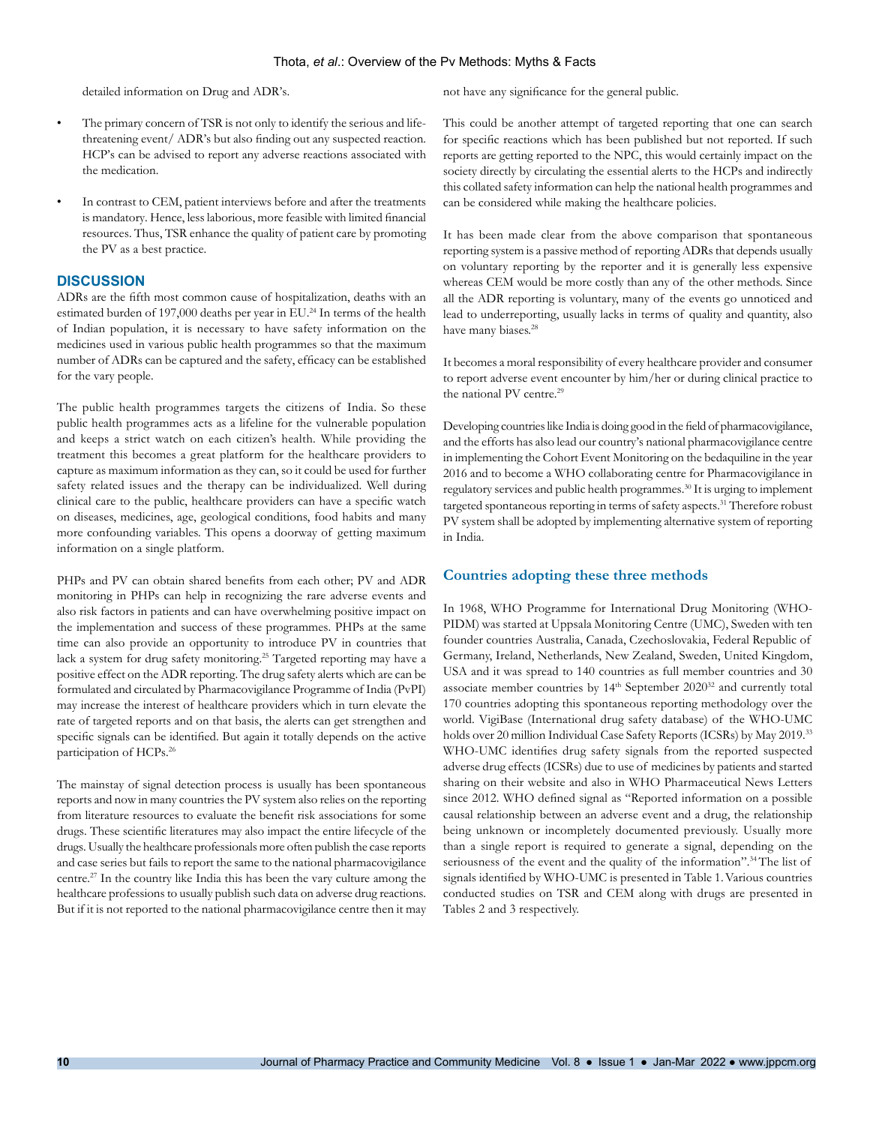detailed information on Drug and ADR's.

- The primary concern of TSR is not only to identify the serious and lifethreatening event/ ADR's but also finding out any suspected reaction. HCP's can be advised to report any adverse reactions associated with the medication.
- In contrast to CEM, patient interviews before and after the treatments is mandatory. Hence, less laborious, more feasible with limited financial resources. Thus, TSR enhance the quality of patient care by promoting the PV as a best practice.

## **DISCUSSION**

ADRs are the fifth most common cause of hospitalization, deaths with an estimated burden of 197,000 deaths per year in EU.<sup>24</sup> In terms of the health of Indian population, it is necessary to have safety information on the medicines used in various public health programmes so that the maximum number of ADRs can be captured and the safety, efficacy can be established for the vary people.

The public health programmes targets the citizens of India. So these public health programmes acts as a lifeline for the vulnerable population and keeps a strict watch on each citizen's health. While providing the treatment this becomes a great platform for the healthcare providers to capture as maximum information as they can, so it could be used for further safety related issues and the therapy can be individualized. Well during clinical care to the public, healthcare providers can have a specific watch on diseases, medicines, age, geological conditions, food habits and many more confounding variables. This opens a doorway of getting maximum information on a single platform.

PHPs and PV can obtain shared benefits from each other; PV and ADR monitoring in PHPs can help in recognizing the rare adverse events and also risk factors in patients and can have overwhelming positive impact on the implementation and success of these programmes. PHPs at the same time can also provide an opportunity to introduce PV in countries that lack a system for drug safety monitoring.25 Targeted reporting may have a positive effect on the ADR reporting. The drug safety alerts which are can be formulated and circulated by Pharmacovigilance Programme of India (PvPI) may increase the interest of healthcare providers which in turn elevate the rate of targeted reports and on that basis, the alerts can get strengthen and specific signals can be identified. But again it totally depends on the active participation of HCPs.26

The mainstay of signal detection process is usually has been spontaneous reports and now in many countries the PV system also relies on the reporting from literature resources to evaluate the benefit risk associations for some drugs. These scientific literatures may also impact the entire lifecycle of the drugs. Usually the healthcare professionals more often publish the case reports and case series but fails to report the same to the national pharmacovigilance centre.27 In the country like India this has been the vary culture among the healthcare professions to usually publish such data on adverse drug reactions. But if it is not reported to the national pharmacovigilance centre then it may

not have any significance for the general public.

This could be another attempt of targeted reporting that one can search for specific reactions which has been published but not reported. If such reports are getting reported to the NPC, this would certainly impact on the society directly by circulating the essential alerts to the HCPs and indirectly this collated safety information can help the national health programmes and can be considered while making the healthcare policies.

It has been made clear from the above comparison that spontaneous reporting system is a passive method of reporting ADRs that depends usually on voluntary reporting by the reporter and it is generally less expensive whereas CEM would be more costly than any of the other methods. Since all the ADR reporting is voluntary, many of the events go unnoticed and lead to underreporting, usually lacks in terms of quality and quantity, also have many biases.<sup>28</sup>

It becomes a moral responsibility of every healthcare provider and consumer to report adverse event encounter by him/her or during clinical practice to the national PV centre.<sup>29</sup>

Developing countries like India is doing good in the field of pharmacovigilance, and the efforts has also lead our country's national pharmacovigilance centre in implementing the Cohort Event Monitoring on the bedaquiline in the year 2016 and to become a WHO collaborating centre for Pharmacovigilance in regulatory services and public health programmes.30 It is urging to implement targeted spontaneous reporting in terms of safety aspects.<sup>31</sup> Therefore robust PV system shall be adopted by implementing alternative system of reporting in India.

#### **Countries adopting these three methods**

In 1968, WHO Programme for International Drug Monitoring (WHO-PIDM) was started at Uppsala Monitoring Centre (UMC), Sweden with ten founder countries Australia, Canada, Czechoslovakia, Federal Republic of Germany, Ireland, Netherlands, New Zealand, Sweden, United Kingdom, USA and it was spread to 140 countries as full member countries and 30 associate member countries by 14<sup>th</sup> September 2020<sup>32</sup> and currently total 170 countries adopting this spontaneous reporting methodology over the world. VigiBase (International drug safety database) of the WHO-UMC holds over 20 million Individual Case Safety Reports (ICSRs) by May 2019.33 WHO-UMC identifies drug safety signals from the reported suspected adverse drug effects (ICSRs) due to use of medicines by patients and started sharing on their website and also in WHO Pharmaceutical News Letters since 2012. WHO defined signal as "Reported information on a possible causal relationship between an adverse event and a drug, the relationship being unknown or incompletely documented previously. Usually more than a single report is required to generate a signal, depending on the seriousness of the event and the quality of the information".<sup>34</sup> The list of signals identified by WHO-UMC is presented in Table 1.Various countries conducted studies on TSR and CEM along with drugs are presented in Tables 2 and 3 respectively.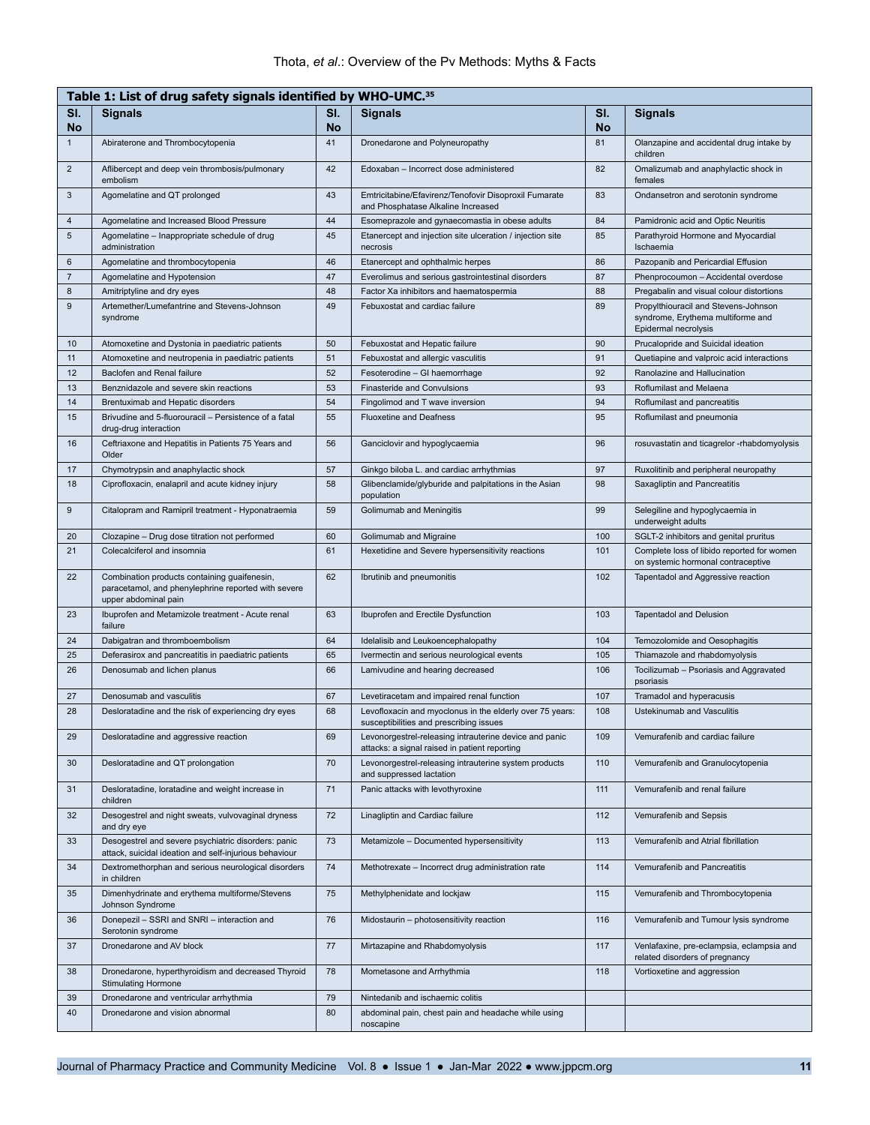| Table 1: List of drug safety signals identified by WHO-UMC. <sup>35</sup> |                                                                                                                             |           |                                                                                                         |                  |                                                                                                   |  |  |
|---------------------------------------------------------------------------|-----------------------------------------------------------------------------------------------------------------------------|-----------|---------------------------------------------------------------------------------------------------------|------------------|---------------------------------------------------------------------------------------------------|--|--|
| SI.<br><b>No</b>                                                          | <b>Signals</b>                                                                                                              | SI.<br>No | <b>Signals</b>                                                                                          | SI.<br><b>No</b> | <b>Signals</b>                                                                                    |  |  |
| $\mathbf{1}$                                                              | Abiraterone and Thrombocytopenia                                                                                            | 41        | Dronedarone and Polyneuropathy                                                                          | 81               | Olanzapine and accidental drug intake by<br>children                                              |  |  |
| $\overline{2}$                                                            | Aflibercept and deep vein thrombosis/pulmonary<br>embolism                                                                  | 42        | Edoxaban - Incorrect dose administered                                                                  | 82               | Omalizumab and anaphylactic shock in<br>females                                                   |  |  |
| 3                                                                         | Agomelatine and QT prolonged                                                                                                | 43        | Emtricitabine/Efavirenz/Tenofovir Disoproxil Fumarate<br>and Phosphatase Alkaline Increased             | 83               | Ondansetron and serotonin syndrome                                                                |  |  |
| 4                                                                         | Agomelatine and Increased Blood Pressure                                                                                    | 44        | Esomeprazole and gynaecomastia in obese adults                                                          | 84               | Pamidronic acid and Optic Neuritis                                                                |  |  |
| 5                                                                         | Agomelatine - Inappropriate schedule of drug<br>administration                                                              | 45        | Etanercept and injection site ulceration / injection site<br>necrosis                                   | 85               | Parathyroid Hormone and Myocardial<br>Ischaemia                                                   |  |  |
| 6                                                                         | Agomelatine and thrombocytopenia                                                                                            | 46        | Etanercept and ophthalmic herpes                                                                        | 86               | Pazopanib and Pericardial Effusion                                                                |  |  |
| $\overline{7}$                                                            | Agomelatine and Hypotension                                                                                                 | 47        | Everolimus and serious gastrointestinal disorders                                                       | 87               | Phenprocoumon - Accidental overdose                                                               |  |  |
| 8                                                                         | Amitriptyline and dry eyes                                                                                                  | 48        | Factor Xa inhibitors and haematospermia                                                                 | 88               | Pregabalin and visual colour distortions                                                          |  |  |
| $\boldsymbol{9}$                                                          | Artemether/Lumefantrine and Stevens-Johnson<br>syndrome                                                                     | 49        | Febuxostat and cardiac failure                                                                          | 89               | Propylthiouracil and Stevens-Johnson<br>syndrome, Erythema multiforme and<br>Epidermal necrolysis |  |  |
| 10                                                                        | Atomoxetine and Dystonia in paediatric patients                                                                             | 50        | Febuxostat and Hepatic failure                                                                          | 90               | Prucalopride and Suicidal ideation                                                                |  |  |
| 11                                                                        | Atomoxetine and neutropenia in paediatric patients                                                                          | 51        | Febuxostat and allergic vasculitis                                                                      | 91               | Quetiapine and valproic acid interactions                                                         |  |  |
| 12                                                                        | Baclofen and Renal failure                                                                                                  | 52        | Fesoterodine - GI haemorrhage                                                                           | 92               | Ranolazine and Hallucination                                                                      |  |  |
| 13                                                                        | Benznidazole and severe skin reactions                                                                                      | 53        | Finasteride and Convulsions                                                                             | 93               | Roflumilast and Melaena                                                                           |  |  |
| 14                                                                        | Brentuximab and Hepatic disorders                                                                                           | 54        | Fingolimod and T wave inversion                                                                         | 94               | Roflumilast and pancreatitis                                                                      |  |  |
| 15                                                                        | Brivudine and 5-fluorouracil - Persistence of a fatal<br>drug-drug interaction                                              | 55        | <b>Fluoxetine and Deafness</b>                                                                          | 95               | Roflumilast and pneumonia                                                                         |  |  |
| 16                                                                        | Ceftriaxone and Hepatitis in Patients 75 Years and<br>Older                                                                 | 56        | Ganciclovir and hypoglycaemia                                                                           | 96               | rosuvastatin and ticagrelor -rhabdomyolysis                                                       |  |  |
| 17                                                                        | Chymotrypsin and anaphylactic shock                                                                                         | 57        | Ginkgo biloba L. and cardiac arrhythmias                                                                | 97               | Ruxolitinib and peripheral neuropathy                                                             |  |  |
| 18                                                                        | Ciprofloxacin, enalapril and acute kidney injury                                                                            | 58        | Glibenclamide/glyburide and palpitations in the Asian<br>population                                     | 98               | Saxagliptin and Pancreatitis                                                                      |  |  |
| 9                                                                         | Citalopram and Ramipril treatment - Hyponatraemia                                                                           | 59        | Golimumab and Meningitis                                                                                | 99               | Selegiline and hypoglycaemia in<br>underweight adults                                             |  |  |
| 20                                                                        | Clozapine - Drug dose titration not performed                                                                               | 60        | Golimumab and Migraine                                                                                  | 100              | SGLT-2 inhibitors and genital pruritus                                                            |  |  |
| 21                                                                        | Colecalciferol and insomnia                                                                                                 | 61        | Hexetidine and Severe hypersensitivity reactions                                                        | 101              | Complete loss of libido reported for women<br>on systemic hormonal contraceptive                  |  |  |
| 22                                                                        | Combination products containing guaifenesin,<br>paracetamol, and phenylephrine reported with severe<br>upper abdominal pain | 62        | Ibrutinib and pneumonitis                                                                               | 102              | Tapentadol and Aggressive reaction                                                                |  |  |
| 23                                                                        | Ibuprofen and Metamizole treatment - Acute renal<br>failure                                                                 | 63        | Ibuprofen and Erectile Dysfunction                                                                      | 103              | <b>Tapentadol and Delusion</b>                                                                    |  |  |
| 24                                                                        | Dabigatran and thromboembolism                                                                                              | 64        | Idelalisib and Leukoencephalopathy                                                                      | 104              | Temozolomide and Oesophagitis                                                                     |  |  |
| 25                                                                        | Deferasirox and pancreatitis in paediatric patients                                                                         | 65        | Ivermectin and serious neurological events                                                              | 105              | Thiamazole and rhabdomyolysis                                                                     |  |  |
| 26                                                                        | Denosumab and lichen planus                                                                                                 | 66        | Lamivudine and hearing decreased                                                                        | 106              | Tocilizumab - Psoriasis and Aggravated<br>psoriasis                                               |  |  |
| 27                                                                        | Denosumab and vasculitis                                                                                                    | 67        | Levetiracetam and impaired renal function                                                               | 107              | Tramadol and hyperacusis                                                                          |  |  |
| 28                                                                        | Desloratadine and the risk of experiencing dry eyes                                                                         | 68        | Levofloxacin and myoclonus in the elderly over 75 years:<br>susceptibilities and prescribing issues     | 108              | <b>Ustekinumab and Vasculitis</b>                                                                 |  |  |
| 29                                                                        | Desloratadine and aggressive reaction                                                                                       | 69        | Levonorgestrel-releasing intrauterine device and panic<br>attacks: a signal raised in patient reporting | 109              | Vemurafenib and cardiac failure                                                                   |  |  |
| 30                                                                        | Desloratadine and QT prolongation                                                                                           | 70        | Levonorgestrel-releasing intrauterine system products<br>and suppressed lactation                       | 110              | Vemurafenib and Granulocytopenia                                                                  |  |  |
| 31                                                                        | Desloratadine, loratadine and weight increase in<br>children                                                                | 71        | Panic attacks with levothyroxine                                                                        | 111              | Vemurafenib and renal failure                                                                     |  |  |
| 32                                                                        | Desogestrel and night sweats, vulvovaginal dryness<br>and dry eye                                                           | 72        | Linagliptin and Cardiac failure                                                                         | 112              | Vemurafenib and Sepsis                                                                            |  |  |
| 33                                                                        | Desogestrel and severe psychiatric disorders: panic<br>attack, suicidal ideation and self-injurious behaviour               | 73        | Metamizole - Documented hypersensitivity                                                                | 113              | Vemurafenib and Atrial fibrillation                                                               |  |  |
| 34                                                                        | Dextromethorphan and serious neurological disorders<br>in children                                                          | 74        | Methotrexate - Incorrect drug administration rate                                                       | 114              | Vemurafenib and Pancreatitis                                                                      |  |  |
| 35                                                                        | Dimenhydrinate and erythema multiforme/Stevens<br>Johnson Syndrome                                                          | 75        | Methylphenidate and lockjaw                                                                             | 115              | Vemurafenib and Thrombocytopenia                                                                  |  |  |
| 36                                                                        | Donepezil - SSRI and SNRI - interaction and<br>Serotonin syndrome                                                           | 76        | Midostaurin - photosensitivity reaction                                                                 | 116              | Vemurafenib and Tumour lysis syndrome                                                             |  |  |
| 37                                                                        | Dronedarone and AV block                                                                                                    | 77        | Mirtazapine and Rhabdomyolysis                                                                          | 117              | Venlafaxine, pre-eclampsia, eclampsia and<br>related disorders of pregnancy                       |  |  |
| 38                                                                        | Dronedarone, hyperthyroidism and decreased Thyroid<br><b>Stimulating Hormone</b>                                            | 78        | Mometasone and Arrhythmia                                                                               | 118              | Vortioxetine and aggression                                                                       |  |  |
| 39                                                                        | Dronedarone and ventricular arrhythmia                                                                                      | 79        | Nintedanib and ischaemic colitis                                                                        |                  |                                                                                                   |  |  |
| 40                                                                        | Dronedarone and vision abnormal                                                                                             | 80        | abdominal pain, chest pain and headache while using<br>noscapine                                        |                  |                                                                                                   |  |  |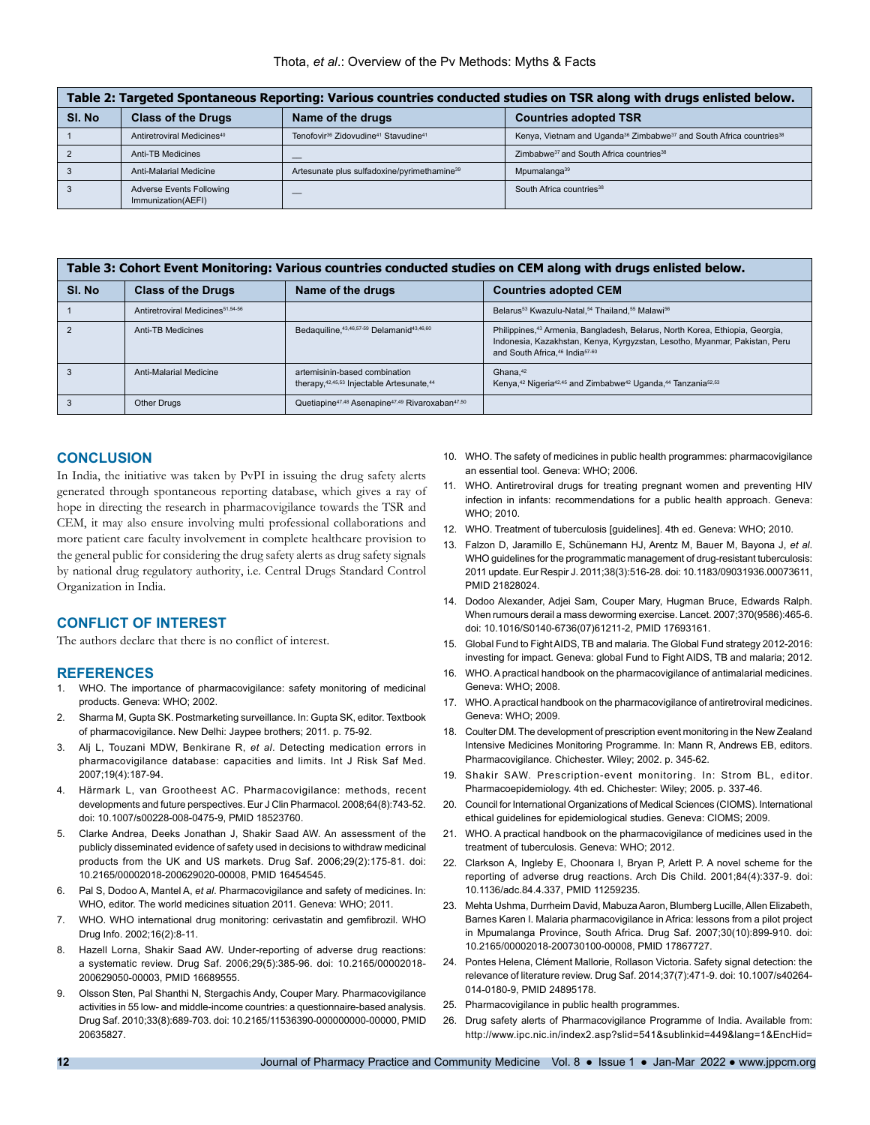#### Thota, *et al*.: Overview of the Pv Methods: Myths & Facts

| Table 2: Targeted Spontaneous Reporting: Various countries conducted studies on TSR along with drugs enlisted below. |                                                |                                                                          |                                                                                                         |  |  |  |
|----------------------------------------------------------------------------------------------------------------------|------------------------------------------------|--------------------------------------------------------------------------|---------------------------------------------------------------------------------------------------------|--|--|--|
| SI. No                                                                                                               | <b>Class of the Drugs</b>                      | Name of the drugs                                                        | <b>Countries adopted TSR</b>                                                                            |  |  |  |
|                                                                                                                      | Antiretroviral Medicines <sup>40</sup>         | Tenofovir <sup>36</sup> Zidovudine <sup>41</sup> Stavudine <sup>41</sup> | Kenya, Vietnam and Uganda <sup>36</sup> Zimbabwe <sup>37</sup> and South Africa countries <sup>38</sup> |  |  |  |
|                                                                                                                      | Anti-TB Medicines                              |                                                                          | Zimbabwe <sup>37</sup> and South Africa countries <sup>38</sup>                                         |  |  |  |
|                                                                                                                      | Anti-Malarial Medicine                         | Artesunate plus sulfadoxine/pyrimethamine <sup>39</sup>                  | Mpumalanga <sup>39</sup>                                                                                |  |  |  |
|                                                                                                                      | Adverse Events Following<br>Immunization(AEFI) |                                                                          | South Africa countries <sup>38</sup>                                                                    |  |  |  |

| Table 3: Cohort Event Monitoring: Various countries conducted studies on CEM along with drugs enlisted below. |                                              |                                                                                     |                                                                                                                                                                                                                                  |  |  |  |  |
|---------------------------------------------------------------------------------------------------------------|----------------------------------------------|-------------------------------------------------------------------------------------|----------------------------------------------------------------------------------------------------------------------------------------------------------------------------------------------------------------------------------|--|--|--|--|
| SI. No                                                                                                        | <b>Class of the Drugs</b>                    | Name of the drugs                                                                   | <b>Countries adopted CEM</b>                                                                                                                                                                                                     |  |  |  |  |
|                                                                                                               | Antiretroviral Medicines <sup>51,54-56</sup> |                                                                                     | Belarus <sup>53</sup> Kwazulu-Natal, <sup>54</sup> Thailand, <sup>55</sup> Malawi <sup>56</sup>                                                                                                                                  |  |  |  |  |
|                                                                                                               | Anti-TB Medicines                            | Bedaguiline. 43, 46, 57-59 Delamanid <sup>43, 46, 60</sup>                          | Philippines, <sup>43</sup> Armenia, Bangladesh, Belarus, North Korea, Ethiopia, Georgia,<br>Indonesia, Kazakhstan, Kenya, Kyrgyzstan, Lesotho, Myanmar, Pakistan, Peru<br>and South Africa. <sup>46</sup> India <sup>57-60</sup> |  |  |  |  |
|                                                                                                               | Anti-Malarial Medicine                       | artemisinin-based combination<br>therapy, 42, 45, 53 Injectable Artesunate, 44      | Ghana. <sup>42</sup><br>Kenya, <sup>42</sup> Nigeria <sup>42,45</sup> and Zimbabwe <sup>42</sup> Uganda, <sup>44</sup> Tanzania <sup>52,53</sup>                                                                                 |  |  |  |  |
|                                                                                                               | <b>Other Drugs</b>                           | Quetiapine <sup>47,48</sup> Asenapine <sup>47,49</sup> Rivaroxaban <sup>47,50</sup> |                                                                                                                                                                                                                                  |  |  |  |  |

#### **CONCLUSION**

In India, the initiative was taken by PvPI in issuing the drug safety alerts generated through spontaneous reporting database, which gives a ray of hope in directing the research in pharmacovigilance towards the TSR and CEM, it may also ensure involving multi professional collaborations and more patient care faculty involvement in complete healthcare provision to the general public for considering the drug safety alerts as drug safety signals by national drug regulatory authority, i.e. Central Drugs Standard Control Organization in India.

## **CONFLICT OF INTEREST**

The authors declare that there is no conflict of interest.

## **REFERENCES**

- 1. WHO. The importance of pharmacovigilance: safety monitoring of medicinal products. Geneva: WHO; 2002.
- 2. Sharma M, Gupta SK. Postmarketing surveillance. In: Gupta SK, editor. Textbook of pharmacovigilance. New Delhi: Jaypee brothers; 2011. p. 75-92.
- 3. Alj L, Touzani MDW, Benkirane R, *et al*. Detecting medication errors in pharmacovigilance database: capacities and limits. Int J Risk Saf Med. 2007;19(4):187-94.
- 4. Härmark L, van Grootheest AC. Pharmacovigilance: methods, recent developments and future perspectives. Eur J Clin Pharmacol. 2008;64(8):743-52. doi: 10.1007/s00228-008-0475-9, PMID 18523760.
- 5. Clarke Andrea, Deeks Jonathan J, Shakir Saad AW. An assessment of the publicly disseminated evidence of safety used in decisions to withdraw medicinal products from the UK and US markets. Drug Saf. 2006;29(2):175-81. doi: 10.2165/00002018-200629020-00008, PMID 16454545.
- 6. Pal S, Dodoo A, Mantel A, *et al*. Pharmacovigilance and safety of medicines. In: WHO, editor. The world medicines situation 2011. Geneva: WHO; 2011.
- 7. WHO. WHO international drug monitoring: cerivastatin and gemfibrozil. WHO Drug Info. 2002;16(2):8-11.
- 8. Hazell Lorna, Shakir Saad AW. Under-reporting of adverse drug reactions: a systematic review. Drug Saf. 2006;29(5):385-96. doi: 10.2165/00002018- 200629050-00003, PMID 16689555.
- 9. Olsson Sten, Pal Shanthi N, Stergachis Andy, Couper Mary. Pharmacovigilance activities in 55 low- and middle-income countries: a questionnaire-based analysis. Drug Saf. 2010;33(8):689-703. doi: 10.2165/11536390-000000000-00000, PMID 20635827.
- 10. WHO. The safety of medicines in public health programmes: pharmacovigilance an essential tool. Geneva: WHO; 2006.
- 11. WHO. Antiretroviral drugs for treating pregnant women and preventing HIV infection in infants: recommendations for a public health approach. Geneva: WHO; 2010.
- 12. WHO. Treatment of tuberculosis [guidelines]. 4th ed. Geneva: WHO; 2010.
- 13. Falzon D, Jaramillo E, Schünemann HJ, Arentz M, Bauer M, Bayona J, *et al*. WHO guidelines for the programmatic management of drug-resistant tuberculosis: 2011 update. Eur Respir J. 2011;38(3):516-28. doi: 10.1183/09031936.00073611, PMID 21828024.
- 14. Dodoo Alexander, Adjei Sam, Couper Mary, Hugman Bruce, Edwards Ralph. When rumours derail a mass deworming exercise. Lancet. 2007;370(9586):465-6. doi: 10.1016/S0140-6736(07)61211-2, PMID 17693161.
- 15. Global Fund to Fight AIDS, TB and malaria. The Global Fund strategy 2012-2016: investing for impact. Geneva: global Fund to Fight AIDS, TB and malaria; 2012.
- 16. WHO. A practical handbook on the pharmacovigilance of antimalarial medicines. Geneva: WHO; 2008.
- 17. WHO. A practical handbook on the pharmacovigilance of antiretroviral medicines. Geneva: WHO; 2009.
- 18. Coulter DM. The development of prescription event monitoring in the New Zealand Intensive Medicines Monitoring Programme. In: Mann R, Andrews EB, editors. Pharmacovigilance. Chichester. Wiley; 2002. p. 345-62.
- 19. Shakir SAW. Prescription-event monitoring. In: Strom BL, editor. Pharmacoepidemiology. 4th ed. Chichester: Wiley; 2005. p. 337-46.
- 20. Council for International Organizations of Medical Sciences (CIOMS). International ethical guidelines for epidemiological studies. Geneva: CIOMS; 2009.
- 21. WHO. A practical handbook on the pharmacovigilance of medicines used in the treatment of tuberculosis. Geneva: WHO; 2012.
- 22. Clarkson A, Ingleby E, Choonara I, Bryan P, Arlett P. A novel scheme for the reporting of adverse drug reactions. Arch Dis Child. 2001;84(4):337-9. doi: 10.1136/adc.84.4.337, PMID 11259235.
- 23. Mehta Ushma, Durrheim David, Mabuza Aaron, Blumberg Lucille, Allen Elizabeth, Barnes Karen I. Malaria pharmacovigilance in Africa: lessons from a pilot project in Mpumalanga Province, South Africa. Drug Saf. 2007;30(10):899-910. doi: 10.2165/00002018-200730100-00008, PMID 17867727.
- 24. Pontes Helena, Clément Mallorie, Rollason Victoria. Safety signal detection: the relevance of literature review. Drug Saf. 2014;37(7):471-9. doi: 10.1007/s40264- 014-0180-9, PMID 24895178.
- 25. Pharmacovigilance in public health programmes.
- 26. Drug safety alerts of Pharmacovigilance Programme of India. Available from: http://www.ipc.nic.in/index2.asp?slid=541&sublinkid=449&lang=1&EncHid=